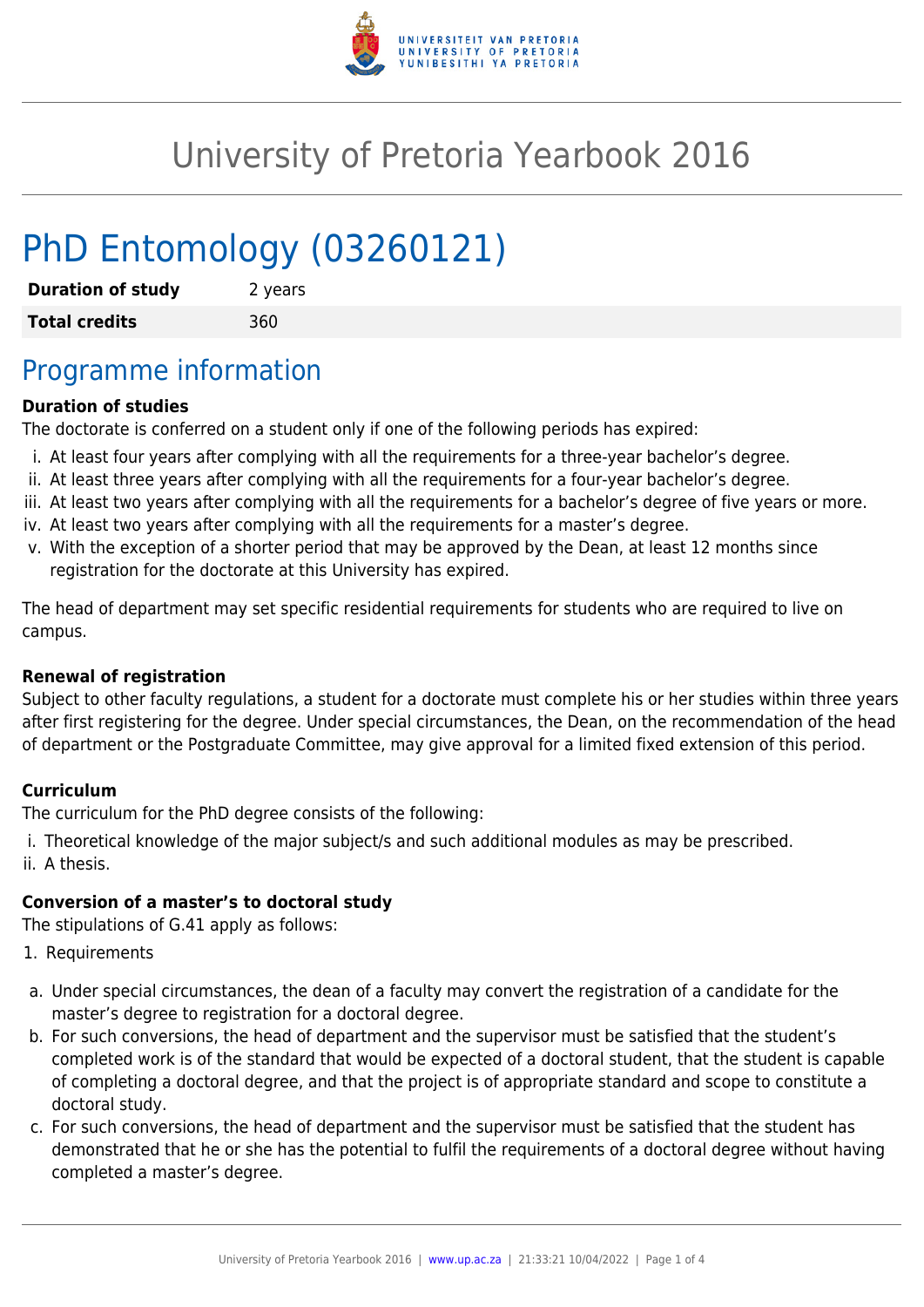

# University of Pretoria Yearbook 2016

# PhD Entomology (03260121)

| <b>Duration of study</b> | 2 years |
|--------------------------|---------|
| <b>Total credits</b>     | 360     |

## Programme information

#### **Duration of studies**

The doctorate is conferred on a student only if one of the following periods has expired:

- i. At least four years after complying with all the requirements for a three-year bachelor's degree.
- ii. At least three years after complying with all the requirements for a four-year bachelor's degree.
- iii. At least two years after complying with all the requirements for a bachelor's degree of five years or more.
- iv. At least two years after complying with all the requirements for a master's degree.
- v. With the exception of a shorter period that may be approved by the Dean, at least 12 months since registration for the doctorate at this University has expired.

The head of department may set specific residential requirements for students who are required to live on campus.

#### **Renewal of registration**

Subject to other faculty regulations, a student for a doctorate must complete his or her studies within three years after first registering for the degree. Under special circumstances, the Dean, on the recommendation of the head of department or the Postgraduate Committee, may give approval for a limited fixed extension of this period.

#### **Curriculum**

The curriculum for the PhD degree consists of the following:

i. Theoretical knowledge of the major subject/s and such additional modules as may be prescribed. ii. A thesis.

#### **Conversion of a master's to doctoral study**

The stipulations of G.41 apply as follows:

- 1. Requirements
- a. Under special circumstances, the dean of a faculty may convert the registration of a candidate for the master's degree to registration for a doctoral degree.
- b. For such conversions, the head of department and the supervisor must be satisfied that the student's completed work is of the standard that would be expected of a doctoral student, that the student is capable of completing a doctoral degree, and that the project is of appropriate standard and scope to constitute a doctoral study.
- c. For such conversions, the head of department and the supervisor must be satisfied that the student has demonstrated that he or she has the potential to fulfil the requirements of a doctoral degree without having completed a master's degree.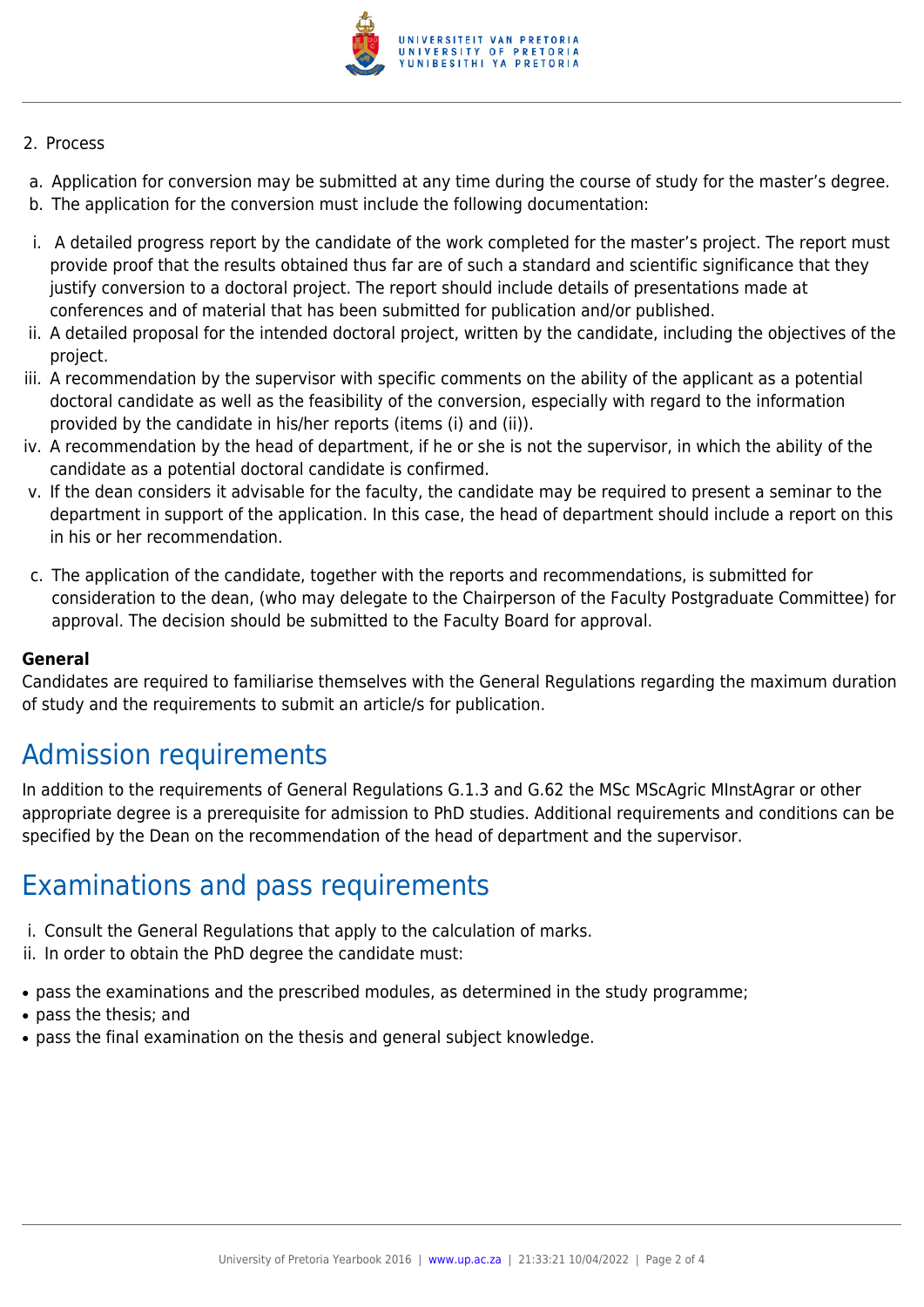

#### 2. Process

- a. Application for conversion may be submitted at any time during the course of study for the master's degree.
- b. The application for the conversion must include the following documentation:
- i. A detailed progress report by the candidate of the work completed for the master's project. The report must provide proof that the results obtained thus far are of such a standard and scientific significance that they justify conversion to a doctoral project. The report should include details of presentations made at conferences and of material that has been submitted for publication and/or published.
- ii. A detailed proposal for the intended doctoral project, written by the candidate, including the objectives of the project.
- iii. A recommendation by the supervisor with specific comments on the ability of the applicant as a potential doctoral candidate as well as the feasibility of the conversion, especially with regard to the information provided by the candidate in his/her reports (items (i) and (ii)).
- iv. A recommendation by the head of department, if he or she is not the supervisor, in which the ability of the candidate as a potential doctoral candidate is confirmed.
- v. If the dean considers it advisable for the faculty, the candidate may be required to present a seminar to the department in support of the application. In this case, the head of department should include a report on this in his or her recommendation.
- c. The application of the candidate, together with the reports and recommendations, is submitted for consideration to the dean, (who may delegate to the Chairperson of the Faculty Postgraduate Committee) for approval. The decision should be submitted to the Faculty Board for approval.

#### **General**

Candidates are required to familiarise themselves with the General Regulations regarding the maximum duration of study and the requirements to submit an article/s for publication.

### Admission requirements

In addition to the requirements of General Regulations G.1.3 and G.62 the MSc MScAgric MInstAgrar or other appropriate degree is a prerequisite for admission to PhD studies. Additional requirements and conditions can be specified by the Dean on the recommendation of the head of department and the supervisor.

### Examinations and pass requirements

- i. Consult the General Regulations that apply to the calculation of marks.
- ii. In order to obtain the PhD degree the candidate must:
- pass the examinations and the prescribed modules, as determined in the study programme;
- pass the thesis: and
- pass the final examination on the thesis and general subject knowledge.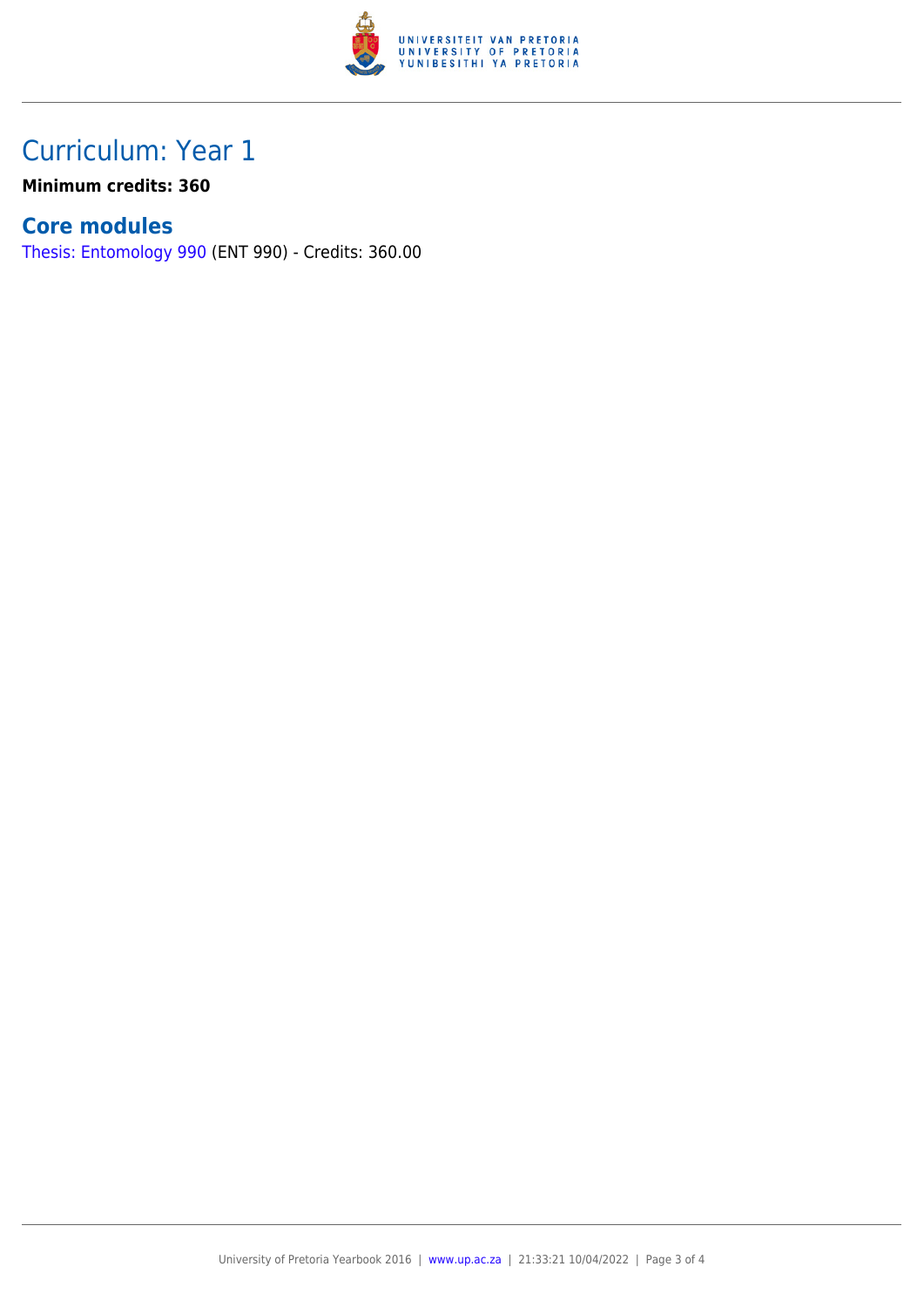

## Curriculum: Year 1

**Minimum credits: 360**

### **Core modules**

[Thesis: Entomology 990](https://www.up.ac.za/faculty-of-education/yearbooks/2016/modules/view/ENT 990) (ENT 990) - Credits: 360.00